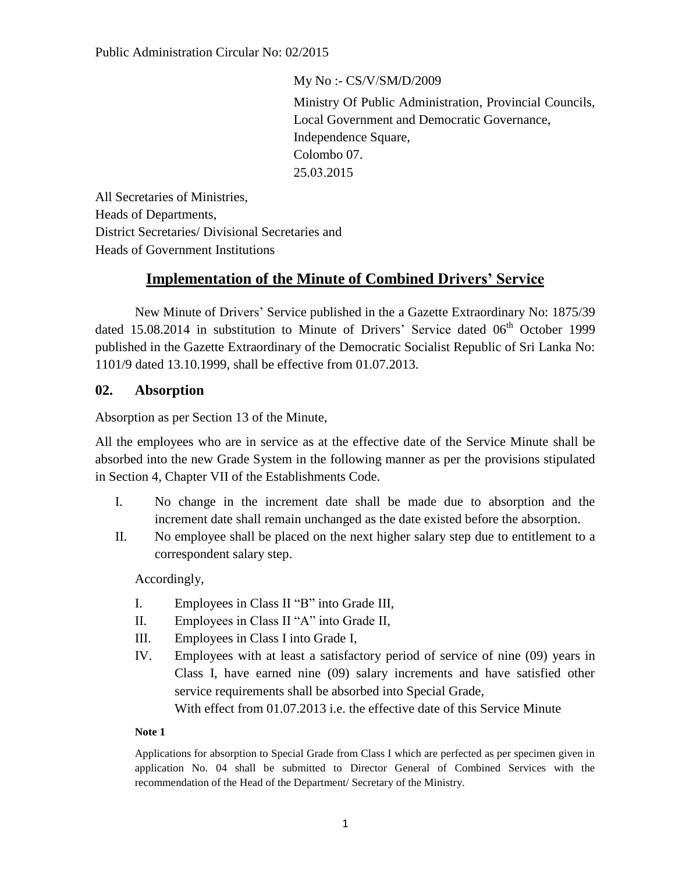My No :- CS/V/SM/D/2009 Ministry Of Public Administration, Provincial Councils, Local Government and Democratic Governance, Independence Square, Colombo 07. 25.03.2015

All Secretaries of Ministries, Heads of Departments, District Secretaries/ Divisional Secretaries and Heads of Government Institutions

# **Implementation of the Minute of Combined Drivers' Service**

New Minute of Drivers' Service published in the a Gazette Extraordinary No: 1875/39 dated 15.08.2014 in substitution to Minute of Drivers' Service dated 06<sup>th</sup> October 1999 published in the Gazette Extraordinary of the Democratic Socialist Republic of Sri Lanka No: 1101/9 dated 13.10.1999, shall be effective from 01.07.2013.

## **02. Absorption**

Absorption as per Section 13 of the Minute,

All the employees who are in service as at the effective date of the Service Minute shall be absorbed into the new Grade System in the following manner as per the provisions stipulated in Section 4, Chapter VII of the Establishments Code.

- I. No change in the increment date shall be made due to absorption and the increment date shall remain unchanged as the date existed before the absorption.
- II. No employee shall be placed on the next higher salary step due to entitlement to a correspondent salary step.

Accordingly,

- I. Employees in Class II "B" into Grade III,
- II. Employees in Class II "A" into Grade II,
- III. Employees in Class I into Grade I,
- IV. Employees with at least a satisfactory period of service of nine (09) years in Class I, have earned nine (09) salary increments and have satisfied other service requirements shall be absorbed into Special Grade, With effect from 01.07.2013 i.e. the effective date of this Service Minute

## **Note 1**

Applications for absorption to Special Grade from Class I which are perfected as per specimen given in application No. 04 shall be submitted to Director General of Combined Services with the recommendation of the Head of the Department/ Secretary of the Ministry.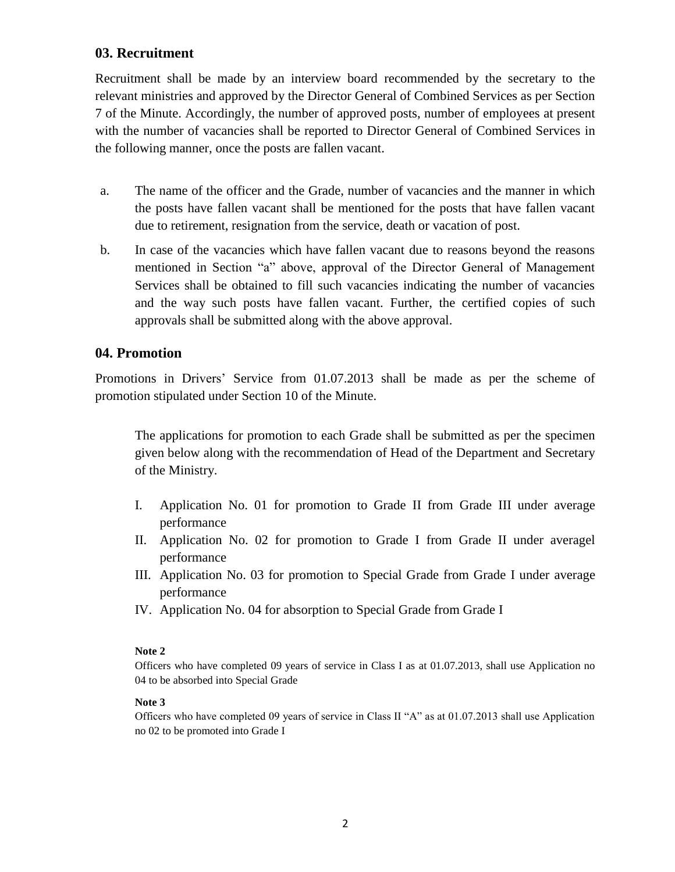## **03. Recruitment**

Recruitment shall be made by an interview board recommended by the secretary to the relevant ministries and approved by the Director General of Combined Services as per Section 7 of the Minute. Accordingly, the number of approved posts, number of employees at present with the number of vacancies shall be reported to Director General of Combined Services in the following manner, once the posts are fallen vacant.

- a. The name of the officer and the Grade, number of vacancies and the manner in which the posts have fallen vacant shall be mentioned for the posts that have fallen vacant due to retirement, resignation from the service, death or vacation of post.
- b. In case of the vacancies which have fallen vacant due to reasons beyond the reasons mentioned in Section "a" above, approval of the Director General of Management Services shall be obtained to fill such vacancies indicating the number of vacancies and the way such posts have fallen vacant. Further, the certified copies of such approvals shall be submitted along with the above approval.

## **04. Promotion**

Promotions in Drivers' Service from 01.07.2013 shall be made as per the scheme of promotion stipulated under Section 10 of the Minute.

The applications for promotion to each Grade shall be submitted as per the specimen given below along with the recommendation of Head of the Department and Secretary of the Ministry.

- I. Application No. 01 for promotion to Grade II from Grade III under average performance
- II. Application No. 02 for promotion to Grade I from Grade II under averagel performance
- III. Application No. 03 for promotion to Special Grade from Grade I under average performance
- IV. Application No. 04 for absorption to Special Grade from Grade I

## **Note 2**

Officers who have completed 09 years of service in Class I as at 01.07.2013, shall use Application no 04 to be absorbed into Special Grade

## **Note 3**

Officers who have completed 09 years of service in Class II "A" as at 01.07.2013 shall use Application no 02 to be promoted into Grade I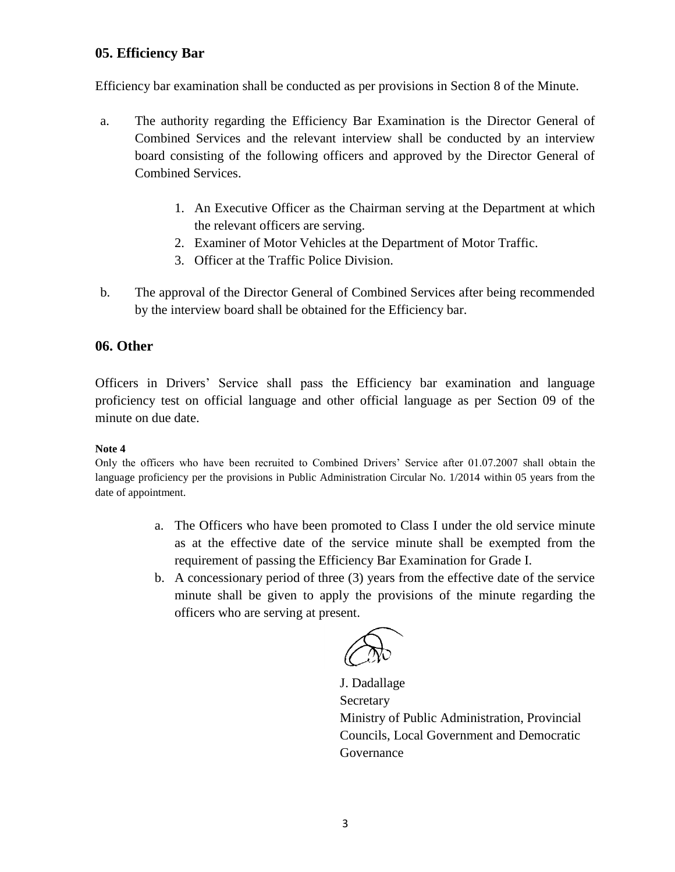## **05. Efficiency Bar**

Efficiency bar examination shall be conducted as per provisions in Section 8 of the Minute.

- a. The authority regarding the Efficiency Bar Examination is the Director General of Combined Services and the relevant interview shall be conducted by an interview board consisting of the following officers and approved by the Director General of Combined Services.
	- 1. An Executive Officer as the Chairman serving at the Department at which the relevant officers are serving.
	- 2. Examiner of Motor Vehicles at the Department of Motor Traffic.
	- 3. Officer at the Traffic Police Division.
- b. The approval of the Director General of Combined Services after being recommended by the interview board shall be obtained for the Efficiency bar.

## **06. Other**

Officers in Drivers' Service shall pass the Efficiency bar examination and language proficiency test on official language and other official language as per Section 09 of the minute on due date.

## **Note 4**

Only the officers who have been recruited to Combined Drivers' Service after 01.07.2007 shall obtain the language proficiency per the provisions in Public Administration Circular No. 1/2014 within 05 years from the date of appointment.

- a. The Officers who have been promoted to Class I under the old service minute as at the effective date of the service minute shall be exempted from the requirement of passing the Efficiency Bar Examination for Grade I.
- b. A concessionary period of three (3) years from the effective date of the service minute shall be given to apply the provisions of the minute regarding the officers who are serving at present.

 J. Dadallage **Secretary** Ministry of Public Administration, Provincial Councils, Local Government and Democratic Governance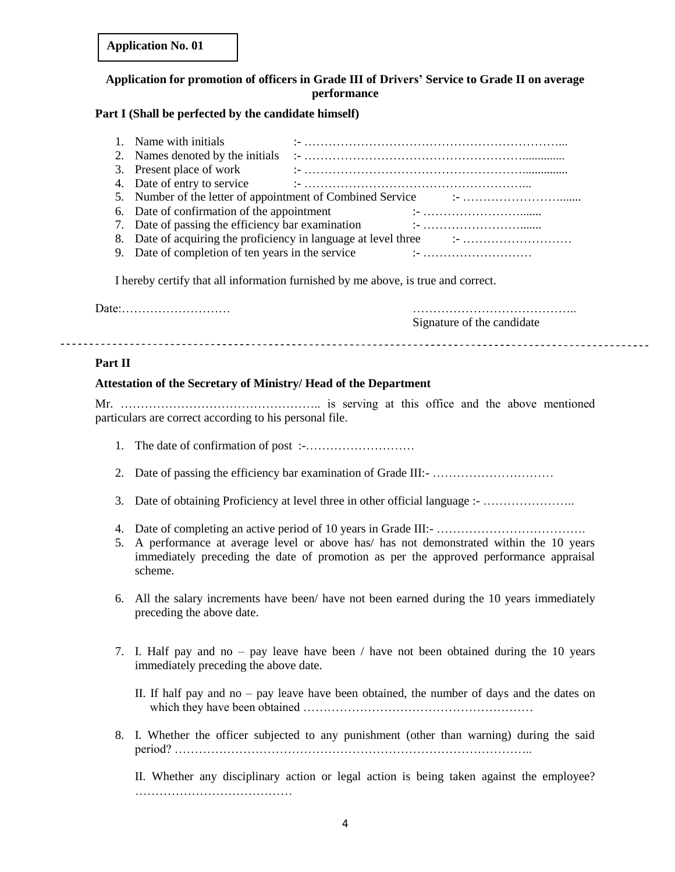| <b>Application No. 01</b> |  |
|---------------------------|--|
|---------------------------|--|

## **Application for promotion of officers in Grade III of Drivers' Service to Grade II on average performance**

## **Part I (Shall be perfected by the candidate himself)**

| 1. Name with initials                             |  |
|---------------------------------------------------|--|
| 2. Names denoted by the initials                  |  |
| 3. Present place of work                          |  |
| 4. Date of entry to service                       |  |
|                                                   |  |
| 6. Date of confirmation of the appointment        |  |
| 7. Date of passing the efficiency bar examination |  |
|                                                   |  |
| 9. Date of completion of ten years in the service |  |

I hereby certify that all information furnished by me above, is true and correct.

Date:……………………… ………………………………….. Signature of the candidate

#### **Part II**

#### **Attestation of the Secretary of Ministry/ Head of the Department**

Mr. ………………………………………….. is serving at this office and the above mentioned particulars are correct according to his personal file.

- 1. The date of confirmation of post :-………………………
- 2. Date of passing the efficiency bar examination of Grade III:- …………………………
- 3. Date of obtaining Proficiency at level three in other official language :- …………………..
- 4. Date of completing an active period of 10 years in Grade III:- ……………………………………
- 5. A performance at average level or above has/ has not demonstrated within the 10 years immediately preceding the date of promotion as per the approved performance appraisal scheme.
- 6. All the salary increments have been/ have not been earned during the 10 years immediately preceding the above date.
- 7. I. Half pay and no pay leave have been / have not been obtained during the 10 years immediately preceding the above date.
	- II. If half pay and no pay leave have been obtained, the number of days and the dates on which they have been obtained …………………………………………………
- 8. I. Whether the officer subjected to any punishment (other than warning) during the said period? ……………………………………………………………………………..

II. Whether any disciplinary action or legal action is being taken against the employee? …………………………………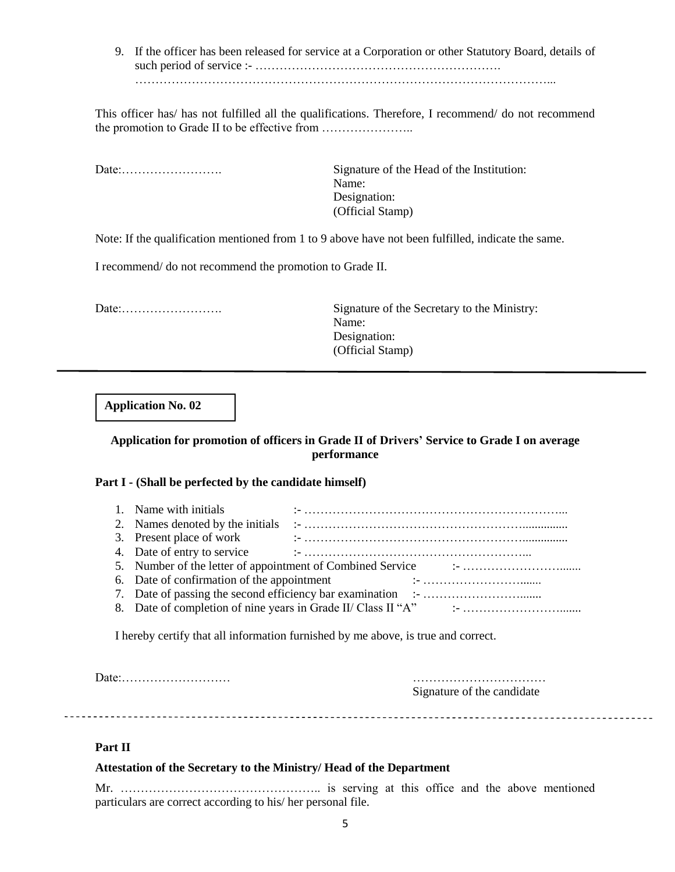9. If the officer has been released for service at a Corporation or other Statutory Board, details of such period of service :- ……………………………………………………. …………………………………………………………………………………………...

This officer has/ has not fulfilled all the qualifications. Therefore, I recommend/ do not recommend the promotion to Grade II to be effective from …………………..

Date:……………………. Signature of the Head of the Institution: Name: Designation: (Official Stamp)

Note: If the qualification mentioned from 1 to 9 above have not been fulfilled, indicate the same.

I recommend/ do not recommend the promotion to Grade II.

Date:……………………. Signature of the Secretary to the Ministry: Name: Designation: (Official Stamp)

**Application No. 02**

## **Application for promotion of officers in Grade II of Drivers' Service to Grade I on average performance**

#### **Part I - (Shall be perfected by the candidate himself)**

| 1. Name with initials                      |                                                                                                                     |
|--------------------------------------------|---------------------------------------------------------------------------------------------------------------------|
|                                            |                                                                                                                     |
| 3. Present place of work                   |                                                                                                                     |
|                                            |                                                                                                                     |
|                                            |                                                                                                                     |
| 6. Date of confirmation of the appointment | and the contract of the contract of the contract of the contract of the contract of the contract of the contract of |
|                                            |                                                                                                                     |
|                                            |                                                                                                                     |

I hereby certify that all information furnished by me above, is true and correct.

Date:……………………… ……………………………

Signature of the candidate

#### **Part II**

#### **Attestation of the Secretary to the Ministry/ Head of the Department**

Mr. ………………………………………….. is serving at this office and the above mentioned particulars are correct according to his/ her personal file.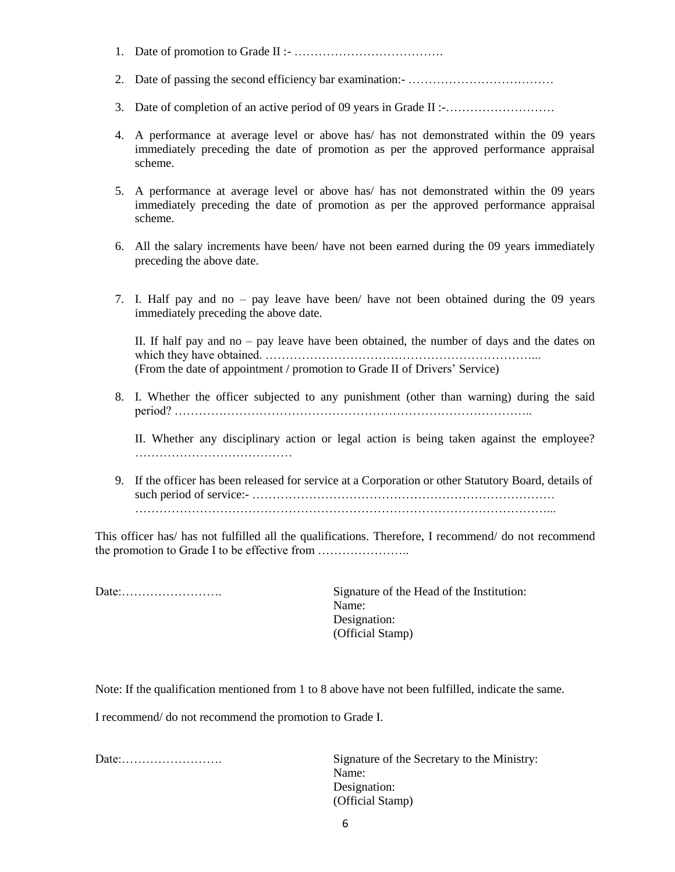- 1. Date of promotion to Grade II :- ……………………………….
- 2. Date of passing the second efficiency bar examination:- ………………………………
- 3. Date of completion of an active period of 09 years in Grade II :-………………………
- 4. A performance at average level or above has/ has not demonstrated within the 09 years immediately preceding the date of promotion as per the approved performance appraisal scheme.
- 5. A performance at average level or above has/ has not demonstrated within the 09 years immediately preceding the date of promotion as per the approved performance appraisal scheme.
- 6. All the salary increments have been/ have not been earned during the 09 years immediately preceding the above date.
- 7. I. Half pay and no pay leave have been/ have not been obtained during the 09 years immediately preceding the above date.

II. If half pay and no – pay leave have been obtained, the number of days and the dates on which they have obtained. …………………………………………………………... (From the date of appointment / promotion to Grade II of Drivers' Service)

8. I. Whether the officer subjected to any punishment (other than warning) during the said period? ……………………………………………………………………………..

II. Whether any disciplinary action or legal action is being taken against the employee? …………………………………

9. If the officer has been released for service at a Corporation or other Statutory Board, details of such period of service:- ………………………………………………………………… …………………………………………………………………………………………...

This officer has/ has not fulfilled all the qualifications. Therefore, I recommend/ do not recommend the promotion to Grade I to be effective from …………………..

Date:……………………. Signature of the Head of the Institution: Name: Designation: (Official Stamp)

Note: If the qualification mentioned from 1 to 8 above have not been fulfilled, indicate the same.

I recommend/ do not recommend the promotion to Grade I.

Date:……………………. Signature of the Secretary to the Ministry: Name: Designation: (Official Stamp)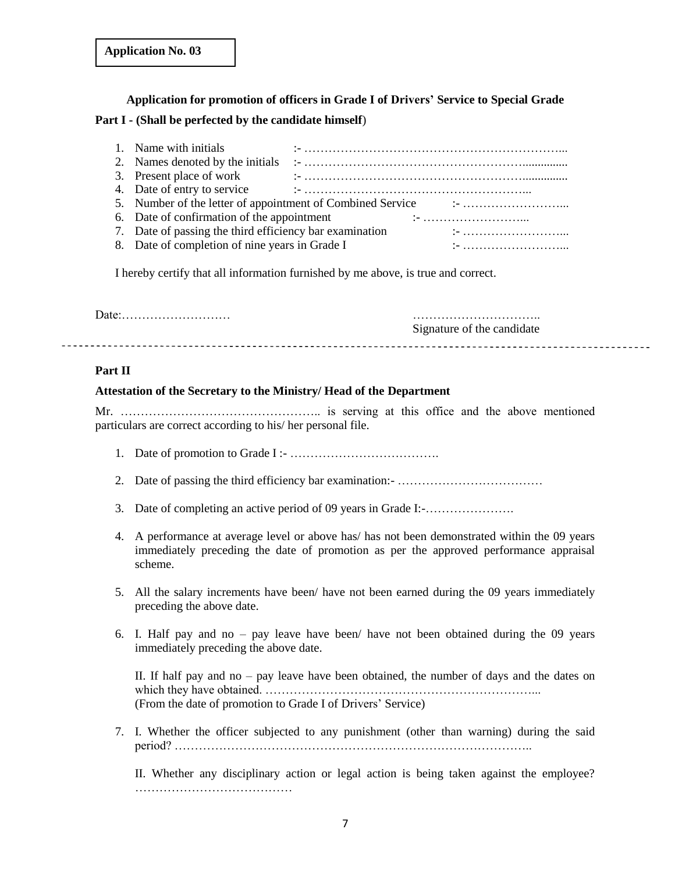# **Application for promotion of officers in Grade I of Drivers' Service to Special Grade Part I - (Shall be perfected by the candidate himself**)

| 1. Name with initials                                   |  |                                                                                                                                                                                                                                                                                                                                                                                                                                                                                    |
|---------------------------------------------------------|--|------------------------------------------------------------------------------------------------------------------------------------------------------------------------------------------------------------------------------------------------------------------------------------------------------------------------------------------------------------------------------------------------------------------------------------------------------------------------------------|
|                                                         |  |                                                                                                                                                                                                                                                                                                                                                                                                                                                                                    |
|                                                         |  |                                                                                                                                                                                                                                                                                                                                                                                                                                                                                    |
| 4. Date of entry to service                             |  |                                                                                                                                                                                                                                                                                                                                                                                                                                                                                    |
|                                                         |  |                                                                                                                                                                                                                                                                                                                                                                                                                                                                                    |
| 6. Date of confirmation of the appointment              |  |                                                                                                                                                                                                                                                                                                                                                                                                                                                                                    |
| 7. Date of passing the third efficiency bar examination |  | $\mathbf{I} = \mathbf{I} \cdot \mathbf{I} \cdot \mathbf{I} \cdot \mathbf{I} \cdot \mathbf{I} \cdot \mathbf{I} \cdot \mathbf{I} \cdot \mathbf{I} \cdot \mathbf{I} \cdot \mathbf{I} \cdot \mathbf{I} \cdot \mathbf{I} \cdot \mathbf{I} \cdot \mathbf{I} \cdot \mathbf{I} \cdot \mathbf{I} \cdot \mathbf{I} \cdot \mathbf{I} \cdot \mathbf{I} \cdot \mathbf{I} \cdot \mathbf{I} \cdot \mathbf{I} \cdot \mathbf{I} \cdot \mathbf{I} \cdot \mathbf{I} \cdot \mathbf{I} \cdot \mathbf{I$ |
| 8. Date of completion of nine years in Grade I          |  |                                                                                                                                                                                                                                                                                                                                                                                                                                                                                    |

I hereby certify that all information furnished by me above, is true and correct.

Date:……………………… ………………………….. Signature of the candidate 

## **Part II**

## **Attestation of the Secretary to the Ministry/ Head of the Department**

Mr. ………………………………………….. is serving at this office and the above mentioned particulars are correct according to his/ her personal file.

- 1. Date of promotion to Grade I :- ……………………………….
- 2. Date of passing the third efficiency bar examination:- ………………………………
- 3. Date of completing an active period of 09 years in Grade I:-………………….
- 4. A performance at average level or above has/ has not been demonstrated within the 09 years immediately preceding the date of promotion as per the approved performance appraisal scheme.
- 5. All the salary increments have been/ have not been earned during the 09 years immediately preceding the above date.
- 6. I. Half pay and no pay leave have been/ have not been obtained during the 09 years immediately preceding the above date.

II. If half pay and no – pay leave have been obtained, the number of days and the dates on which they have obtained. …………………………………………………………... (From the date of promotion to Grade I of Drivers' Service)

7. I. Whether the officer subjected to any punishment (other than warning) during the said period? ……………………………………………………………………………..

II. Whether any disciplinary action or legal action is being taken against the employee? …………………………………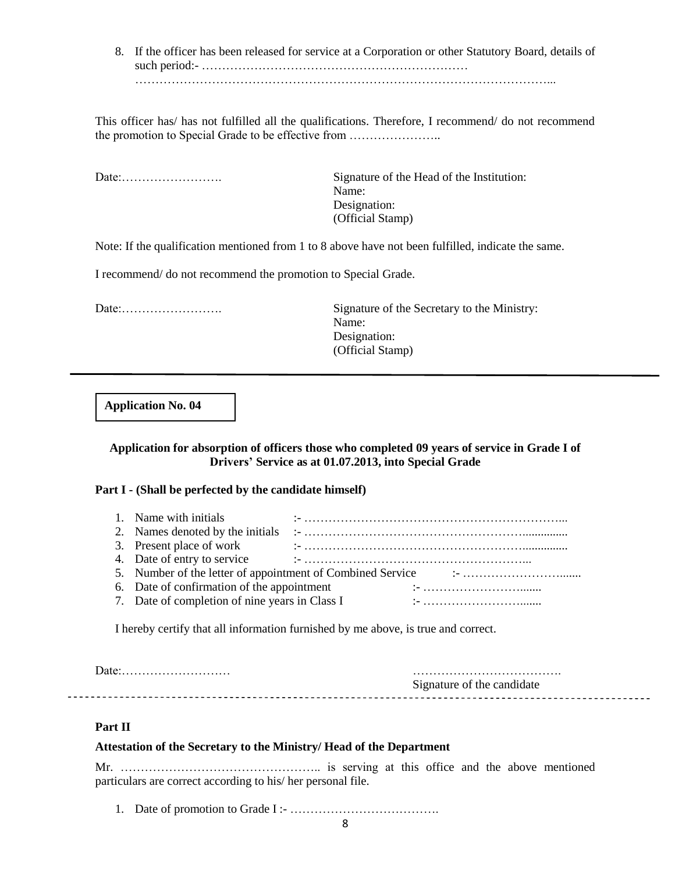8. If the officer has been released for service at a Corporation or other Statutory Board, details of such period:- ………………………………………………………… …………………………………………………………………………………………...

This officer has/ has not fulfilled all the qualifications. Therefore, I recommend/ do not recommend the promotion to Special Grade to be effective from …………………..

Date:……………………. Signature of the Head of the Institution: Name: Designation: (Official Stamp)

Note: If the qualification mentioned from 1 to 8 above have not been fulfilled, indicate the same.

I recommend/ do not recommend the promotion to Special Grade.

Date:……………………. Signature of the Secretary to the Ministry: Name: Designation: (Official Stamp)

**Application No. 04**

## **Application for absorption of officers those who completed 09 years of service in Grade I of Drivers' Service as at 01.07.2013, into Special Grade**

#### **Part I - (Shall be perfected by the candidate himself)**

| 1. Name with initials                          |  |  |
|------------------------------------------------|--|--|
|                                                |  |  |
|                                                |  |  |
|                                                |  |  |
|                                                |  |  |
| 6. Date of confirmation of the appointment     |  |  |
| 7. Date of completion of nine years in Class I |  |  |

I hereby certify that all information furnished by me above, is true and correct.

| Signature of the candidate |  |
|----------------------------|--|

## **Part II**

 $- - -$ 

#### **Attestation of the Secretary to the Ministry/ Head of the Department**

Mr. ………………………………………….. is serving at this office and the above mentioned particulars are correct according to his/ her personal file.

1. Date of promotion to Grade I :- ……………………………….